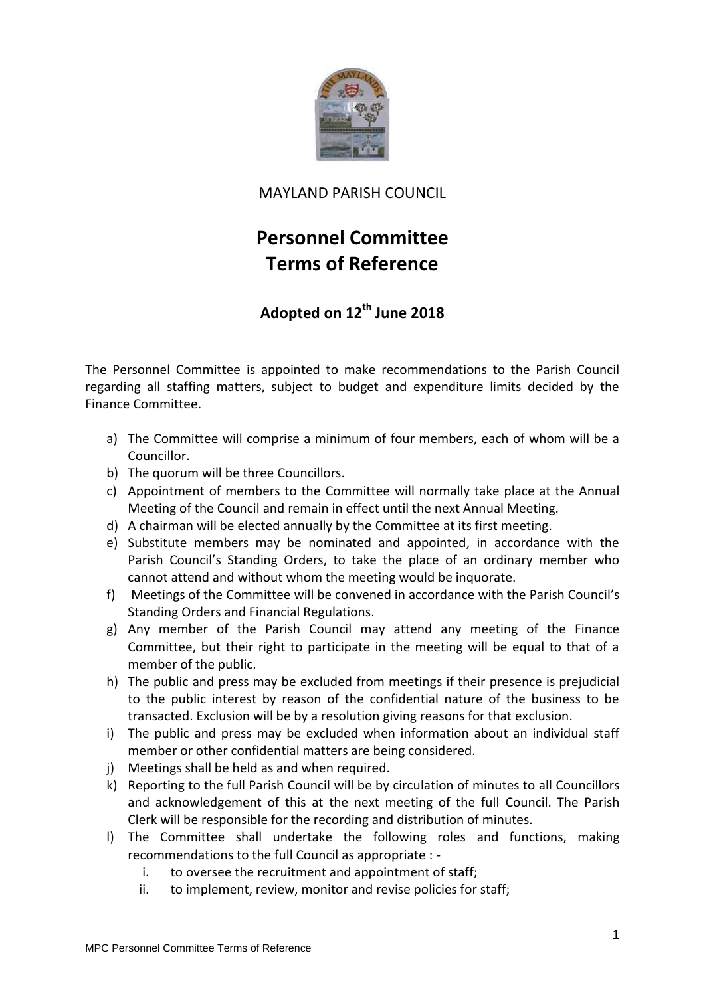

## MAYLAND PARISH COUNCIL

## **Personnel Committee Terms of Reference**

## **Adopted on 12th June 2018**

The Personnel Committee is appointed to make recommendations to the Parish Council regarding all staffing matters, subject to budget and expenditure limits decided by the Finance Committee.

- a) The Committee will comprise a minimum of four members, each of whom will be a Councillor.
- b) The quorum will be three Councillors.
- c) Appointment of members to the Committee will normally take place at the Annual Meeting of the Council and remain in effect until the next Annual Meeting.
- d) A chairman will be elected annually by the Committee at its first meeting.
- e) Substitute members may be nominated and appointed, in accordance with the Parish Council's Standing Orders, to take the place of an ordinary member who cannot attend and without whom the meeting would be inquorate.
- f) Meetings of the Committee will be convened in accordance with the Parish Council's Standing Orders and Financial Regulations.
- g) Any member of the Parish Council may attend any meeting of the Finance Committee, but their right to participate in the meeting will be equal to that of a member of the public.
- h) The public and press may be excluded from meetings if their presence is prejudicial to the public interest by reason of the confidential nature of the business to be transacted. Exclusion will be by a resolution giving reasons for that exclusion.
- i) The public and press may be excluded when information about an individual staff member or other confidential matters are being considered.
- j) Meetings shall be held as and when required.
- k) Reporting to the full Parish Council will be by circulation of minutes to all Councillors and acknowledgement of this at the next meeting of the full Council. The Parish Clerk will be responsible for the recording and distribution of minutes.
- l) The Committee shall undertake the following roles and functions, making recommendations to the full Council as appropriate :
	- i. to oversee the recruitment and appointment of staff;
	- ii. to implement, review, monitor and revise policies for staff;